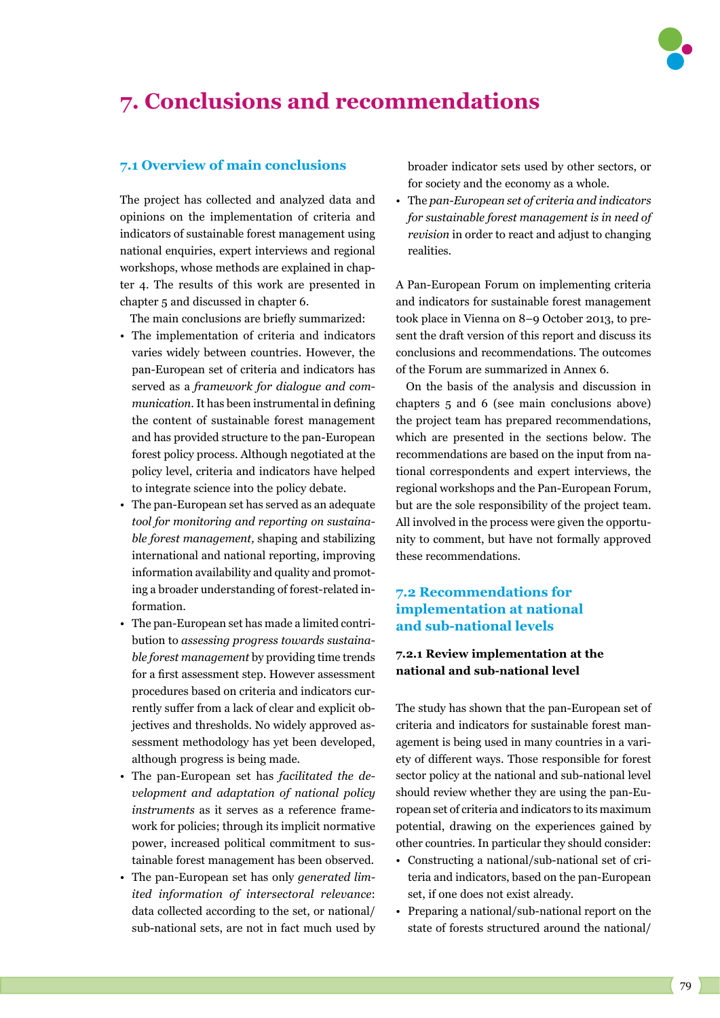

# **7. Conclusions and recommendations**

#### **7.1 Overview of main conclusions**

The project has collected and analyzed data and opinions on the implementation of criteria and indicators of sustainable forest management using national enquiries, expert interviews and regional workshops, whose methods are explained in chapter 4. The results of this work are presented in chapter 5 and discussed in chapter 6.

The main conclusions are briefly summarized:

- The implementation of criteria and indicators varies widely between countries. However, the pan-European set of criteria and indicators has served as a *framework for dialogue and communication*. It has been instrumental in defining the content of sustainable forest management and has provided structure to the pan-European forest policy process. Although negotiated at the policy level, criteria and indicators have helped to integrate science into the policy debate.
- The pan-European set has served as an adequate *tool for monitoring and reporting on sustainable forest management,* shaping and stabilizing international and national reporting, improving information availability and quality and promoting a broader understanding of forest-related information.
- The pan-European set has made a limited contribution to *assessing progress towards sustainable forest management* by providing time trends for a first assessment step. However assessment procedures based on criteria and indicators currently suffer from a lack of clear and explicit objectives and thresholds. No widely approved assessment methodology has yet been developed, although progress is being made.
- The pan-European set has *facilitated the development and adaptation of national policy instruments* as it serves as a reference framework for policies; through its implicit normative power, increased political commitment to sustainable forest management has been observed.
- The pan-European set has only *generated limited information of intersectoral relevance*: data collected according to the set, or national/ sub-national sets, are not in fact much used by

broader indicator sets used by other sectors, or for society and the economy as a whole.

• The *pan-European set of criteria and indicators for sustainable forest management is in need of revision* in order to react and adjust to changing realities.

A Pan-European Forum on implementing criteria and indicators for sustainable forest management took place in Vienna on 8–9 October 2013, to present the draft version of this report and discuss its conclusions and recommendations. The outcomes of the Forum are summarized in Annex 6.

On the basis of the analysis and discussion in chapters 5 and 6 (see main conclusions above) the project team has prepared recommendations, which are presented in the sections below. The recommendations are based on the input from national correspondents and expert interviews, the regional workshops and the Pan-European Forum, but are the sole responsibility of the project team. All involved in the process were given the opportunity to comment, but have not formally approved these recommendations.

## **7.2 Recommendations for implementation at national and sub-national levels**

# **7.2.1 Review implementation at the national and sub-national level**

The study has shown that the pan-European set of criteria and indicators for sustainable forest management is being used in many countries in a variety of different ways. Those responsible for forest sector policy at the national and sub-national level should review whether they are using the pan-European set of criteria and indicators to its maximum potential, drawing on the experiences gained by other countries. In particular they should consider:

- Constructing a national/sub-national set of criteria and indicators, based on the pan-European set, if one does not exist already.
- Preparing a national/sub-national report on the state of forests structured around the national/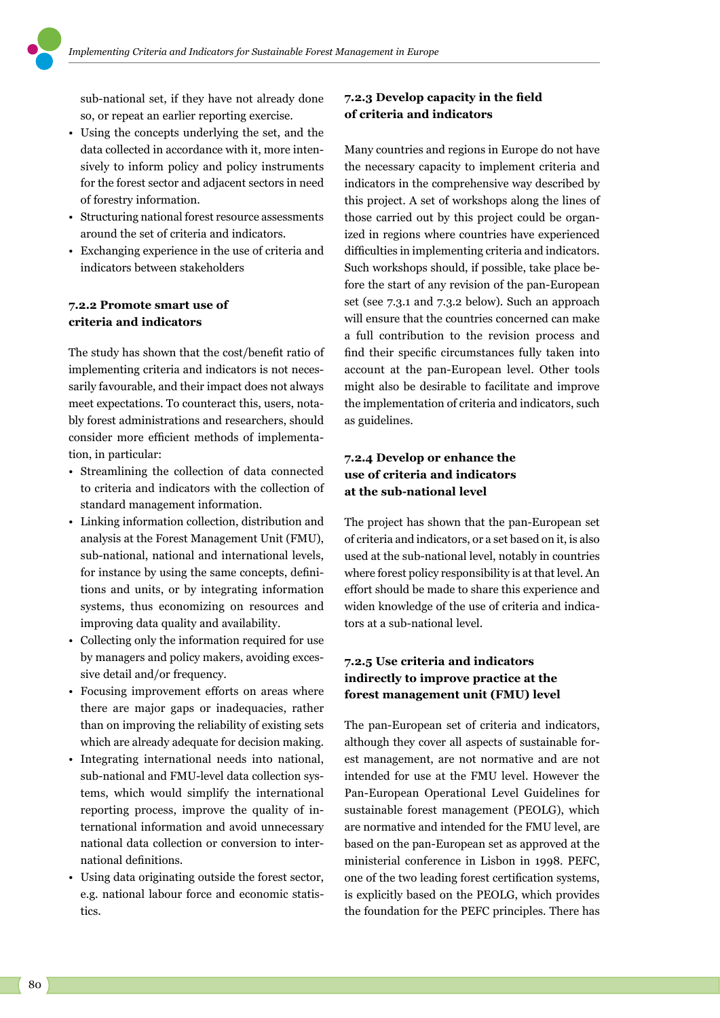sub-national set, if they have not already done so, or repeat an earlier reporting exercise.

- Using the concepts underlying the set, and the data collected in accordance with it, more intensively to inform policy and policy instruments for the forest sector and adjacent sectors in need of forestry information.
- Structuring national forest resource assessments around the set of criteria and indicators.
- Exchanging experience in the use of criteria and indicators between stakeholders

#### **7.2.2 Promote smart use of criteria and indicators**

The study has shown that the cost/benefit ratio of implementing criteria and indicators is not necessarily favourable, and their impact does not always meet expectations. To counteract this, users, notably forest administrations and researchers, should consider more efficient methods of implementation, in particular:

- Streamlining the collection of data connected to criteria and indicators with the collection of standard management information.
- Linking information collection, distribution and analysis at the Forest Management Unit (FMU), sub-national, national and international levels, for instance by using the same concepts, definitions and units, or by integrating information systems, thus economizing on resources and improving data quality and availability.
- Collecting only the information required for use by managers and policy makers, avoiding excessive detail and/or frequency.
- Focusing improvement efforts on areas where there are major gaps or inadequacies, rather than on improving the reliability of existing sets which are already adequate for decision making.
- Integrating international needs into national, sub-national and FMU-level data collection systems, which would simplify the international reporting process, improve the quality of international information and avoid unnecessary national data collection or conversion to international definitions.
- Using data originating outside the forest sector, e.g. national labour force and economic statistics.

# **7.2.3 Develop capacity in the field of criteria and indicators**

Many countries and regions in Europe do not have the necessary capacity to implement criteria and indicators in the comprehensive way described by this project. A set of workshops along the lines of those carried out by this project could be organized in regions where countries have experienced difficulties in implementing criteria and indicators. Such workshops should, if possible, take place before the start of any revision of the pan-European set (see 7.3.1 and 7.3.2 below). Such an approach will ensure that the countries concerned can make a full contribution to the revision process and find their specific circumstances fully taken into account at the pan-European level. Other tools might also be desirable to facilitate and improve the implementation of criteria and indicators, such as guidelines.

# **7.2.4 Develop or enhance the use of criteria and indicators at the sub-national level**

The project has shown that the pan-European set of criteria and indicators, or a set based on it, is also used at the sub-national level, notably in countries where forest policy responsibility is at that level. An effort should be made to share this experience and widen knowledge of the use of criteria and indicators at a sub-national level.

#### **7.2.5 Use criteria and indicators indirectly to improve practice at the forest management unit (FMU) level**

The pan-European set of criteria and indicators, although they cover all aspects of sustainable forest management, are not normative and are not intended for use at the FMU level. However the Pan-European Operational Level Guidelines for sustainable forest management (PEOLG), which are normative and intended for the FMU level, are based on the pan-European set as approved at the ministerial conference in Lisbon in 1998. PEFC, one of the two leading forest certification systems, is explicitly based on the PEOLG, which provides the foundation for the PEFC principles. There has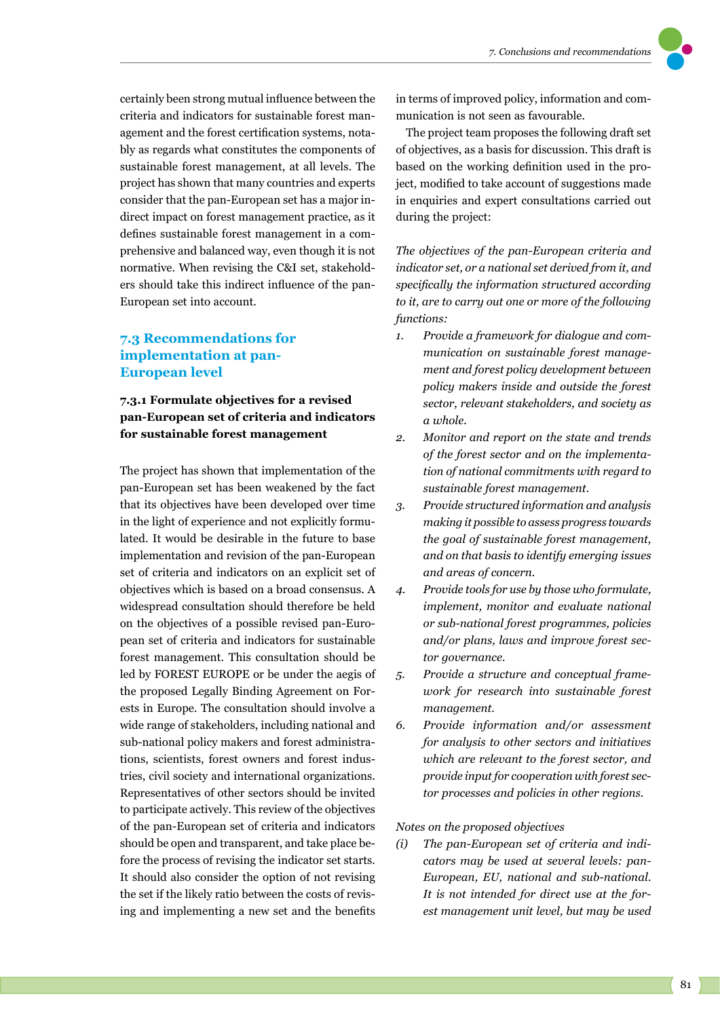certainly been strong mutual influence between the criteria and indicators for sustainable forest management and the forest certification systems, notably as regards what constitutes the components of sustainable forest management, at all levels. The project has shown that many countries and experts consider that the pan-European set has a major indirect impact on forest management practice, as it defines sustainable forest management in a comprehensive and balanced way, even though it is not normative. When revising the C&I set, stakeholders should take this indirect influence of the pan-European set into account.

# **7.3 Recommendations for implementation at pan-European level**

# **7.3.1 Formulate objectives for a revised pan-European set of criteria and indicators for sustainable forest management**

The project has shown that implementation of the pan-European set has been weakened by the fact that its objectives have been developed over time in the light of experience and not explicitly formulated. It would be desirable in the future to base implementation and revision of the pan-European set of criteria and indicators on an explicit set of objectives which is based on a broad consensus. A widespread consultation should therefore be held on the objectives of a possible revised pan-European set of criteria and indicators for sustainable forest management. This consultation should be led by FOREST EUROPE or be under the aegis of the proposed Legally Binding Agreement on Forests in Europe. The consultation should involve a wide range of stakeholders, including national and sub-national policy makers and forest administrations, scientists, forest owners and forest industries, civil society and international organizations. Representatives of other sectors should be invited to participate actively. This review of the objectives of the pan-European set of criteria and indicators should be open and transparent, and take place before the process of revising the indicator set starts. It should also consider the option of not revising the set if the likely ratio between the costs of revising and implementing a new set and the benefits in terms of improved policy, information and communication is not seen as favourable.

The project team proposes the following draft set of objectives, as a basis for discussion. This draft is based on the working definition used in the project, modified to take account of suggestions made in enquiries and expert consultations carried out during the project:

*The objectives of the pan-European criteria and indicator set, or a national set derived from it, and specifically the information structured according to it, are to carry out one or more of the following functions:* 

- *1. Provide a framework for dialogue and communication on sustainable forest management and forest policy development between policy makers inside and outside the forest sector, relevant stakeholders, and society as a whole.*
- *2. Monitor and report on the state and trends of the forest sector and on the implementation of national commitments with regard to sustainable forest management.*
- *3. Provide structured information and analysis making it possible to assess progress towards the goal of sustainable forest management, and on that basis to identify emerging issues and areas of concern.*
- *4. Provide tools for use by those who formulate, implement, monitor and evaluate national or sub-national forest programmes, policies and/or plans, laws and improve forest sector governance.*
- *5. Provide a structure and conceptual framework for research into sustainable forest management.*
- *6. Provide information and/or assessment for analysis to other sectors and initiatives which are relevant to the forest sector, and provide input for cooperation with forest sector processes and policies in other regions.*

*Notes on the proposed objectives*

*(i) The pan-European set of criteria and indicators may be used at several levels: pan-European, EU, national and sub-national. It is not intended for direct use at the forest management unit level, but may be used*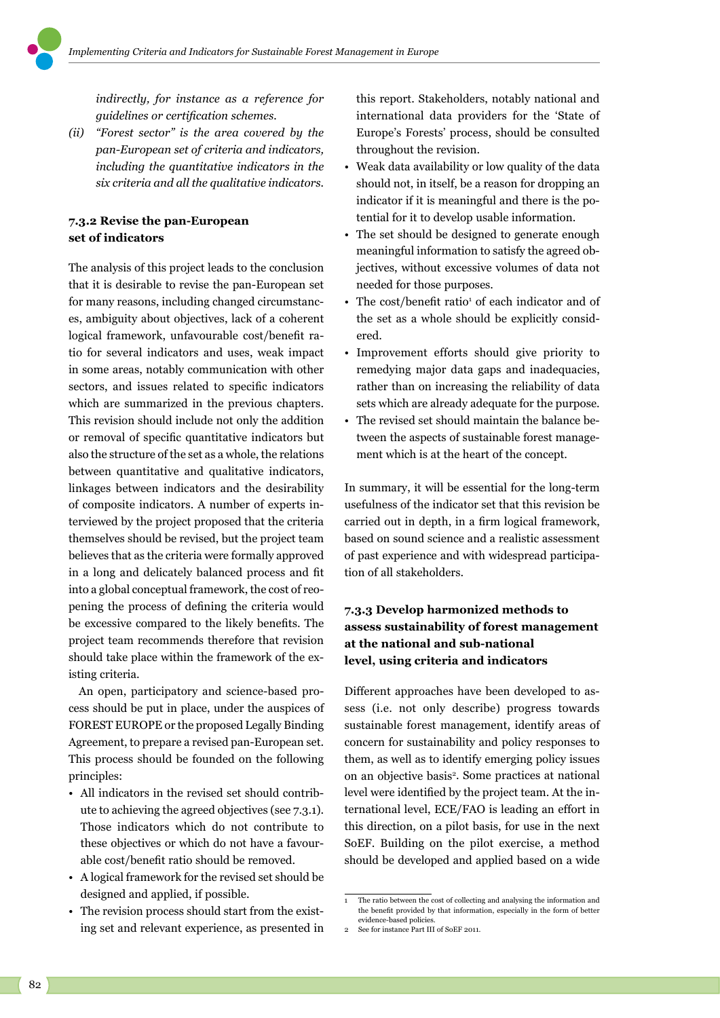*indirectly, for instance as a reference for guidelines or certification schemes.*

*(ii) "Forest sector" is the area covered by the pan-European set of criteria and indicators, including the quantitative indicators in the six criteria and all the qualitative indicators.*

#### **7.3.2 Revise the pan-European set of indicators**

The analysis of this project leads to the conclusion that it is desirable to revise the pan-European set for many reasons, including changed circumstances, ambiguity about objectives, lack of a coherent logical framework, unfavourable cost/benefit ratio for several indicators and uses, weak impact in some areas, notably communication with other sectors, and issues related to specific indicators which are summarized in the previous chapters. This revision should include not only the addition or removal of specific quantitative indicators but also the structure of the set as a whole, the relations between quantitative and qualitative indicators, linkages between indicators and the desirability of composite indicators. A number of experts interviewed by the project proposed that the criteria themselves should be revised, but the project team believes that as the criteria were formally approved in a long and delicately balanced process and fit into a global conceptual framework, the cost of reopening the process of defining the criteria would be excessive compared to the likely benefits. The project team recommends therefore that revision should take place within the framework of the existing criteria.

An open, participatory and science-based process should be put in place, under the auspices of FOREST EUROPE or the proposed Legally Binding Agreement, to prepare a revised pan-European set. This process should be founded on the following principles:

- All indicators in the revised set should contribute to achieving the agreed objectives (see 7.3.1). Those indicators which do not contribute to these objectives or which do not have a favourable cost/benefit ratio should be removed.
- A logical framework for the revised set should be designed and applied, if possible.
- The revision process should start from the existing set and relevant experience, as presented in

this report. Stakeholders, notably national and international data providers for the 'State of Europe's Forests' process, should be consulted throughout the revision.

- Weak data availability or low quality of the data should not, in itself, be a reason for dropping an indicator if it is meaningful and there is the potential for it to develop usable information.
- The set should be designed to generate enough meaningful information to satisfy the agreed objectives, without excessive volumes of data not needed for those purposes.
- The cost/benefit ratio<sup>1</sup> of each indicator and of the set as a whole should be explicitly considered.
- Improvement efforts should give priority to remedying major data gaps and inadequacies, rather than on increasing the reliability of data sets which are already adequate for the purpose.
- The revised set should maintain the balance between the aspects of sustainable forest management which is at the heart of the concept.

In summary, it will be essential for the long-term usefulness of the indicator set that this revision be carried out in depth, in a firm logical framework, based on sound science and a realistic assessment of past experience and with widespread participation of all stakeholders.

# **7.3.3 Develop harmonized methods to assess sustainability of forest management at the national and sub-national level, using criteria and indicators**

Different approaches have been developed to assess (i.e. not only describe) progress towards sustainable forest management, identify areas of concern for sustainability and policy responses to them, as well as to identify emerging policy issues on an objective basis<sup>2</sup>. Some practices at national level were identified by the project team. At the international level, ECE/FAO is leading an effort in this direction, on a pilot basis, for use in the next SoEF. Building on the pilot exercise, a method should be developed and applied based on a wide

The ratio between the cost of collecting and analysing the information and the benefit provided by that information, especially in the form of better evidence-based policies.

See for instance Part III of SoEF 2011.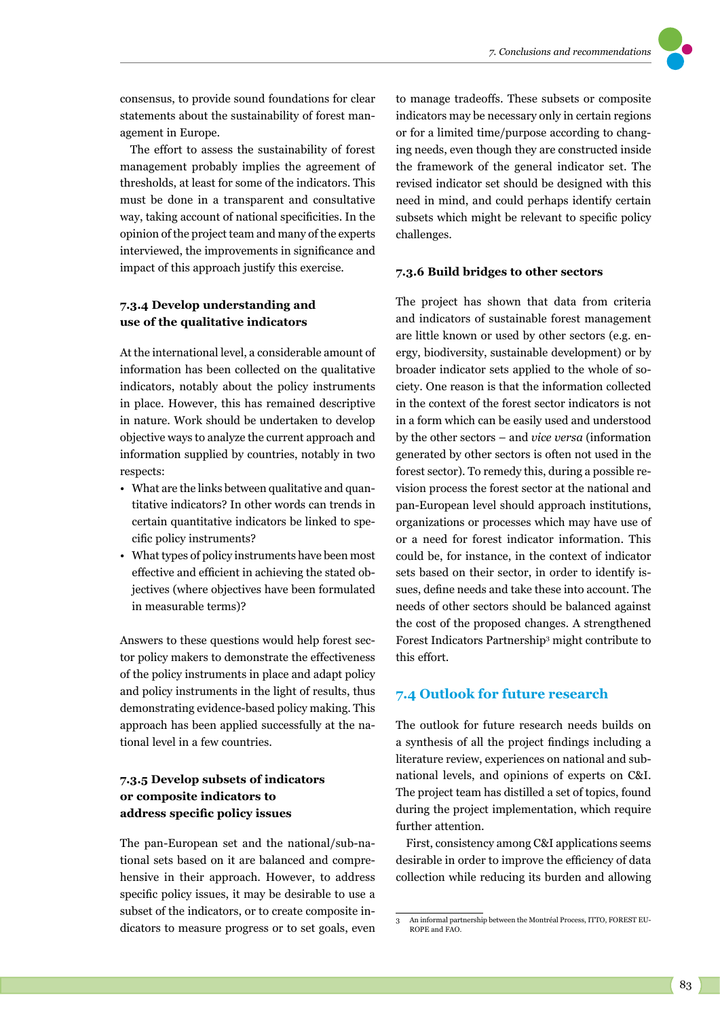

consensus, to provide sound foundations for clear statements about the sustainability of forest management in Europe.

The effort to assess the sustainability of forest management probably implies the agreement of thresholds, at least for some of the indicators. This must be done in a transparent and consultative way, taking account of national specificities. In the opinion of the project team and many of the experts interviewed, the improvements in significance and impact of this approach justify this exercise.

#### **7.3.4 Develop understanding and use of the qualitative indicators**

At the international level, a considerable amount of information has been collected on the qualitative indicators, notably about the policy instruments in place. However, this has remained descriptive in nature. Work should be undertaken to develop objective ways to analyze the current approach and information supplied by countries, notably in two respects:

- What are the links between qualitative and quantitative indicators? In other words can trends in certain quantitative indicators be linked to specific policy instruments?
- What types of policy instruments have been most effective and efficient in achieving the stated objectives (where objectives have been formulated in measurable terms)?

Answers to these questions would help forest sector policy makers to demonstrate the effectiveness of the policy instruments in place and adapt policy and policy instruments in the light of results, thus demonstrating evidence-based policy making. This approach has been applied successfully at the national level in a few countries.

# **7.3.5 Develop subsets of indicators or composite indicators to address specific policy issues**

The pan-European set and the national/sub-national sets based on it are balanced and comprehensive in their approach. However, to address specific policy issues, it may be desirable to use a subset of the indicators, or to create composite indicators to measure progress or to set goals, even to manage tradeoffs. These subsets or composite indicators may be necessary only in certain regions or for a limited time/purpose according to changing needs, even though they are constructed inside the framework of the general indicator set. The revised indicator set should be designed with this need in mind, and could perhaps identify certain subsets which might be relevant to specific policy challenges.

#### **7.3.6 Build bridges to other sectors**

The project has shown that data from criteria and indicators of sustainable forest management are little known or used by other sectors (e.g. energy, biodiversity, sustainable development) or by broader indicator sets applied to the whole of society. One reason is that the information collected in the context of the forest sector indicators is not in a form which can be easily used and understood by the other sectors – and *vice versa* (information generated by other sectors is often not used in the forest sector). To remedy this, during a possible revision process the forest sector at the national and pan-European level should approach institutions, organizations or processes which may have use of or a need for forest indicator information. This could be, for instance, in the context of indicator sets based on their sector, in order to identify issues, define needs and take these into account. The needs of other sectors should be balanced against the cost of the proposed changes. A strengthened Forest Indicators Partnership3 might contribute to this effort.

#### **7.4 Outlook for future research**

The outlook for future research needs builds on a synthesis of all the project findings including a literature review, experiences on national and subnational levels, and opinions of experts on C&I. The project team has distilled a set of topics, found during the project implementation, which require further attention.

First, consistency among C&I applications seems desirable in order to improve the efficiency of data collection while reducing its burden and allowing

<sup>3</sup> An informal partnership between the Montréal Process, ITTO, FOREST EU-ROPE and FAO.